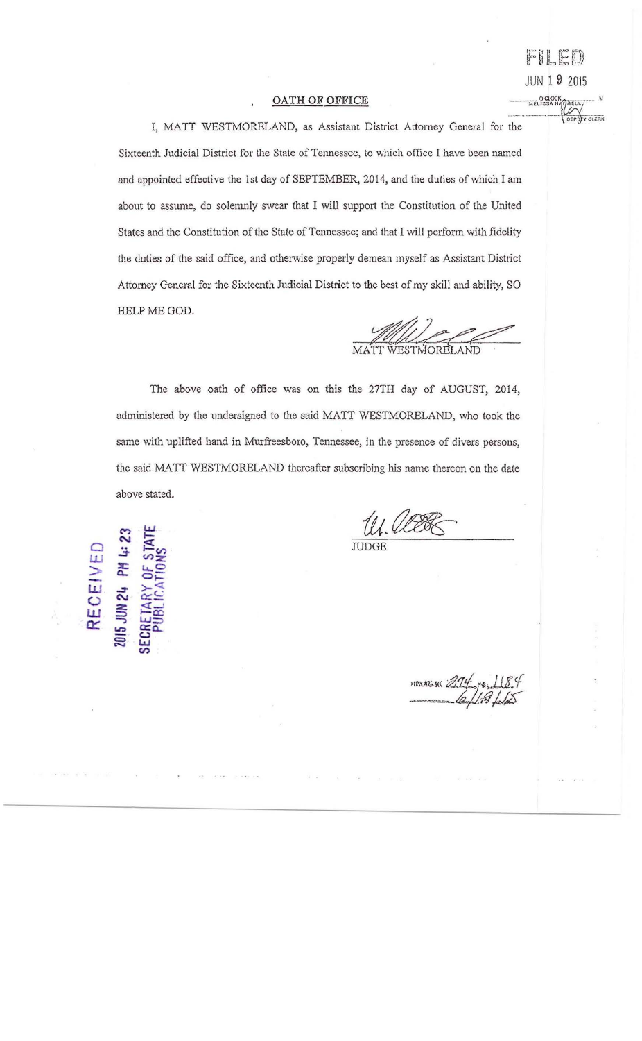## **OATH OF OFFICE**

I, MATT WESTMORELAND, as Assistant District Attorney General for the Sixteenth Judicial District for the State of Tennessee, to which office I have been named and appointed effective the 1st day of SEPTEMBER, 2014, and the duties of which I am about to assume, do solemnly swear that I will support the Constitution of the United States and the Constitution of the State of Tennessee; and that I will perform with fidelity the duties of the said office, and otherwise properly demean myself as Assistant District Attorney General for the Sixteenth Judicial District to the best of my skill and ability, SO HELP ME GOD.

The above oath of office was on this the 27TH day of AUGUST, 2014, administered by the undersigned to the said MATT WESTMORELAND, who took the same with uplifted hand in Murfreesboro, Tennessee, in the presence of divers persons, the said MATT WESTMORELAND thereafter subscribing his name thereon on the date above stated.

U. UEEK

RECEIVED IS JUN 24 PM

HAVAGER 214 10 118.4

O'CLOCK

FILED

**JUN 1 9 2015**